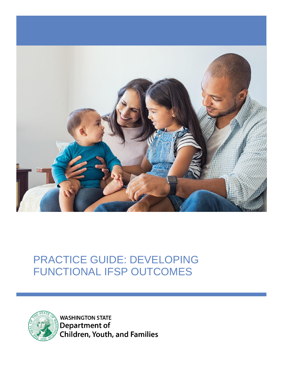



**WASHINGTON STATE Department of Children, Youth, and Families**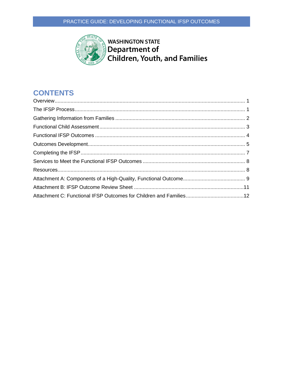

**WASHINGTON STATE** Department of Children, Youth, and Families

# **CONTENTS**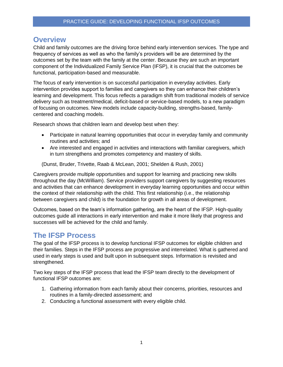### <span id="page-2-0"></span>**Overview**

Child and family outcomes are the driving force behind early intervention services. The type and frequency of services as well as who the family's providers will be are determined by the outcomes set by the team with the family at the center. Because they are such an important component of the Individualized Family Service Plan (IFSP), it is crucial that the outcomes be functional, participation-based and measurable.

The focus of early intervention is on successful participation in everyday activities. Early intervention provides support to families and caregivers so they can enhance their children's learning and development. This focus reflects a paradigm shift from traditional models of service delivery such as treatment/medical, deficit-based or service-based models, to a new paradigm of focusing on outcomes. New models include capacity-building, strengths-based, familycentered and coaching models.

Research shows that children learn and develop best when they:

- Participate in natural learning opportunities that occur in everyday family and community routines and activities; and
- Are interested and engaged in activities and interactions with familiar caregivers, which in turn strengthens and promotes competency and mastery of skills.

(Dunst, Bruder, Trivette, Raab & McLean, 2001; Shelden & Rush, 2001)

Caregivers provide multiple opportunities and support for learning and practicing new skills throughout the day (McWilliam). Service providers support caregivers by suggesting resources and activities that can enhance development in everyday learning opportunities and occur within the context of their relationship with the child. This first relationship (i.e., the relationship between caregivers and child) is the foundation for growth in all areas of development.

Outcomes, based on the team's information gathering, are the heart of the IFSP. High-quality outcomes guide all interactions in early intervention and make it more likely that progress and successes will be achieved for the child and family.

### <span id="page-2-1"></span>**The IFSP Process**

The goal of the IFSP process is to develop functional IFSP outcomes for eligible children and their families. Steps in the IFSP process are progressive and interrelated. What is gathered and used in early steps is used and built upon in subsequent steps. Information is revisited and strengthened.

Two key steps of the IFSP process that lead the IFSP team directly to the development of functional IFSP outcomes are:

- 1. Gathering information from each family about their concerns, priorities, resources and routines in a family-directed assessment; and
- 2. Conducting a functional assessment with every eligible child.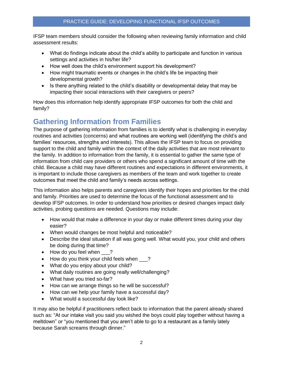IFSP team members should consider the following when reviewing family information and child assessment results:

- What do findings indicate about the child's ability to participate and function in various settings and activities in his/her life?
- How well does the child's environment support his development?
- How might traumatic events or changes in the child's life be impacting their developmental growth?
- Is there anything related to the child's disability or developmental delay that may be impacting their social interactions with their caregivers or peers?

How does this information help identify appropriate IFSP outcomes for both the child and family?

### <span id="page-3-0"></span>**Gathering Information from Families**

The purpose of gathering information from families is to identify what is challenging in everyday routines and activities (concerns) and what routines are working well (identifying the child's and families' resources, strengths and interests). This allows the IFSP team to focus on providing support to the child and family within the context of the daily activities that are most relevant to the family. In addition to information from the family, it is essential to gather the same type of information from child care providers or others who spend a significant amount of time with the child. Because a child may have different routines and expectations in different environments, it is important to include those caregivers as members of the team and work together to create outcomes that meet the child and family's needs across settings.

This information also helps parents and caregivers identify their hopes and priorities for the child and family. Priorities are used to determine the focus of the functional assessment and to develop IFSP outcomes. In order to understand how priorities or desired changes impact daily activities, probing questions are needed. Questions may include:

- How would that make a difference in your day or make different times during your day easier?
- When would changes be most helpful and noticeable?
- Describe the ideal situation if all was going well. What would you, your child and others be doing during that time?
- How do you feel when \_\_\_?
- How do you think your child feels when ?
- What do you enjoy about your child?
- What daily routines are going really well/challenging?
- What have you tried so-far?
- How can we arrange things so he will be successful?
- How can we help your family have a successful day?
- What would a successful day look like?

It may also be helpful if practitioners reflect back to information that the parent already shared such as: "At our intake visit you said you wished the boys could play together without having a meltdown" or "you mentioned that you aren't able to go to a restaurant as a family lately because Sarah screams through dinner."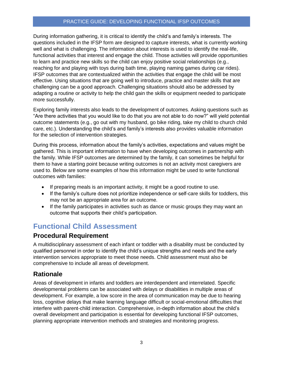During information gathering, it is critical to identify the child's and family's interests. The questions included in the IFSP form are designed to capture interests, what is currently working well and what is challenging. The information about interests is used to identify the real-life, functional activities that interest and engage the child. Those activities will provide opportunities to learn and practice new skills so the child can enjoy positive social relationships (e.g., reaching for and playing with toys during bath time, playing naming games during car rides). IFSP outcomes that are contextualized within the activities that engage the child will be most effective. Using situations that are going well to introduce, practice and master skills that are challenging can be a good approach. Challenging situations should also be addressed by adapting a routine or activity to help the child gain the skills or equipment needed to participate more successfully.

Exploring family interests also leads to the development of outcomes. Asking questions such as "Are there activities that you would like to do that you are not able to do now?" will yield potential outcome statements (e.g., go out with my husband, go bike riding, take my child to church child care, etc.). Understanding the child's and family's interests also provides valuable information for the selection of intervention strategies.

During this process, information about the family's activities, expectations and values might be gathered. This is important information to have when developing outcomes in partnership with the family. While IFSP outcomes are determined by the family, it can sometimes be helpful for them to have a starting point because writing outcomes is not an activity most caregivers are used to. Below are some examples of how this information might be used to write functional outcomes with families:

- If preparing meals is an important activity, it might be a good routine to use.
- If the family's culture does not prioritize independence or self-care skills for toddlers, this may not be an appropriate area for an outcome.
- If the family participates in activities such as dance or music groups they may want an outcome that supports their child's participation.

# <span id="page-4-0"></span>**Functional Child Assessment**

#### **Procedural Requirement**

A multidisciplinary assessment of each infant or toddler with a disability must be conducted by qualified personnel in order to identify the child's unique strengths and needs and the early intervention services appropriate to meet those needs. Child assessment must also be comprehensive to include all areas of development.

#### **Rationale**

Areas of development in infants and toddlers are interdependent and interrelated. Specific developmental problems can be associated with delays or disabilities in multiple areas of development. For example, a low score in the area of communication may be due to hearing loss, cognitive delays that make learning language difficult or social-emotional difficulties that interfere with parent-child interaction. Comprehensive, in-depth information about the child's overall development and participation is essential for developing functional IFSP outcomes, planning appropriate intervention methods and strategies and monitoring progress.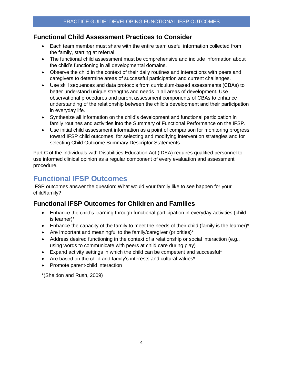### **Functional Child Assessment Practices to Consider**

- Each team member must share with the entire team useful information collected from the family, starting at referral.
- The functional child assessment must be comprehensive and include information about the child's functioning in all developmental domains.
- Observe the child in the context of their daily routines and interactions with peers and caregivers to determine areas of successful participation and current challenges.
- Use skill sequences and data protocols from curriculum-based assessments (CBAs) to better understand unique strengths and needs in all areas of development. Use observational procedures and parent assessment components of CBAs to enhance understanding of the relationship between the child's development and their participation in everyday life.
- Synthesize all information on the child's development and functional participation in family routines and activities into the Summary of Functional Performance on the IFSP.
- Use initial child assessment information as a point of comparison for monitoring progress toward IFSP child outcomes, for selecting and modifying intervention strategies and for selecting Child Outcome Summary Descriptor Statements.

Part C of the Individuals with Disabilities Education Act (IDEA) requires qualified personnel to use informed clinical opinion as a regular component of every evaluation and assessment procedure.

### <span id="page-5-0"></span>**Functional IFSP Outcomes**

IFSP outcomes answer the question: What would your family like to see happen for your child/family?

### **Functional IFSP Outcomes for Children and Families**

- Enhance the child's learning through functional participation in everyday activities (child is learner)\*
- $\bullet$  Enhance the capacity of the family to meet the needs of their child (family is the learner)\*
- Are important and meaningful to the family/caregiver (priorities)\*
- Address desired functioning in the context of a relationship or social interaction (e.g., using words to communicate with peers at child care during play)
- Expand activity settings in which the child can be competent and successful\*
- Are based on the child and family's interests and cultural values\*
- Promote parent-child interaction

\*(Sheldon and Rush, 2009)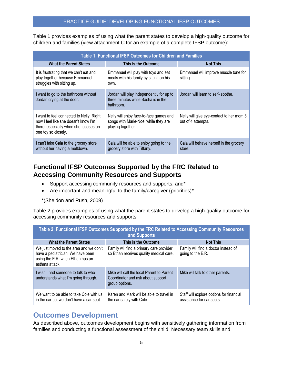Table 1 provides examples of using what the parent states to develop a high-quality outcome for children and families (view attachment C for an example of a complete IFSP outcome):

| <b>Table 1: Functional IFSP Outcomes for Children and Families</b>                                                                               |                                                                                                      |                                                                |  |  |  |  |  |
|--------------------------------------------------------------------------------------------------------------------------------------------------|------------------------------------------------------------------------------------------------------|----------------------------------------------------------------|--|--|--|--|--|
| <b>What the Parent States</b>                                                                                                                    | This is the Outcome                                                                                  | <b>Not This</b>                                                |  |  |  |  |  |
| It is frustrating that we can't eat and<br>play together because Emmanuel<br>struggles with sitting up.                                          | Emmanuel will play with toys and eat<br>meals with his family by sitting on his<br>own.              | Emmanuel will improve muscle tone for<br>sitting.              |  |  |  |  |  |
| l want to go to the bathroom without<br>Jordan crying at the door.                                                                               | Jordan will play independently for up to<br>three minutes while Sasha is in the<br>bathroom.         | Jordan will learn to self-soothe.                              |  |  |  |  |  |
| I want to feel connected to Nelly. Right<br>now I feel like she doesn't know I'm<br>there, especially when she focuses on<br>one toy so closely. | Nelly will enjoy face-to-face games and<br>songs with Marie-Noel while they are<br>playing together. | Nelly will give eye-contact to her mom 3<br>out of 4 attempts. |  |  |  |  |  |
| can't take Caia to the grocery store<br>without her having a meltdown.                                                                           | Caia will be able to enjoy going to the<br>grocery store with Tiffany.                               | Caia will behave herself in the grocery<br>store.              |  |  |  |  |  |

### **Functional IFSP Outcomes Supported by the FRC Related to Accessing Community Resources and Supports**

- Support accessing community resources and supports; and\*
- Are important and meaningful to the family/caregiver (priorities)\*

\*(Sheldon and Rush, 2009)

Table 2 provides examples of using what the parent states to develop a high-quality outcome for accessing community resources and supports:

| Table 2: Functional IFSP Outcomes Supported by the FRC Related to Accessing Community Resources<br>and Supports                   |                                                                                                  |                                                                       |  |  |  |  |  |
|-----------------------------------------------------------------------------------------------------------------------------------|--------------------------------------------------------------------------------------------------|-----------------------------------------------------------------------|--|--|--|--|--|
| <b>What the Parent States</b>                                                                                                     | This is the Outcome                                                                              | <b>Not This</b>                                                       |  |  |  |  |  |
| We just moved to the area and we don't<br>have a pediatrician. We have been<br>using the E.R. when Ethan has an<br>asthma attack. | Family will find a primary care provider<br>so Ethan receives quality medical care.              | Family will find a doctor instead of<br>going to the E.R.             |  |  |  |  |  |
| I wish I had someone to talk to who<br>understands what I'm going through.                                                        | Mike will call the local Parent to Parent<br>Coordinator and ask about support<br>group options. | Mike will talk to other parents.                                      |  |  |  |  |  |
| We want to be able to take Cole with us<br>in the car but we don't have a car seat.                                               | Karen and Mark will be able to travel in<br>the car safely with Cole.                            | Staff will explore options for financial<br>assistance for car seats. |  |  |  |  |  |

### <span id="page-6-0"></span>**Outcomes Development**

As described above, outcomes development begins with sensitively gathering information from families and conducting a functional assessment of the child. Necessary team skills and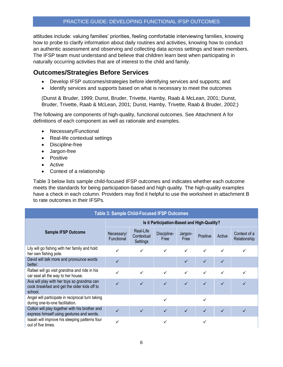attitudes include: valuing families' priorities, feeling comfortable interviewing families, knowing how to probe to clarify information about daily routines and activities, knowing how to conduct an authentic assessment and observing and collecting data across settings and team members. The IFSP team must understand and believe that children learn best when participating in naturally occurring activities that are of interest to the child and family.

#### **Outcomes/Strategies Before Services**

- Develop IFSP outcomes/strategies before identifying services and supports; and
- Identify services and supports based on what is necessary to meet the outcomes

(Dunst & Bruder, 1999; Dunst, Bruder, Trivette, Hamby, Raab & McLean, 2001; Dunst, Bruder, Trivette, Raab & McLean, 2001; Dunst, Hamby, Trivette, Raab & Bruder, 2002;)

The following are components of high-quality, functional outcomes. See Attachment A for definitions of each component as well as rationale and examples.

- Necessary/Functional
- Real-life contextual settings
- Discipline-free
- Jargon-free
- Positive
- Active
- Context of a relationship

Table 3 below lists sample child-focused IFSP outcomes and indicates whether each outcome meets the standards for being participation-based and high quality. The high-quality examples have a check in each column. Providers may find it helpful to use the worksheet in attachment B to rate outcomes in their IFSPs.

| <b>Table 3: Sample Child-Focused IFSP Outcomes</b>                                                    |                                             |                                     |                     |                 |              |        |                              |
|-------------------------------------------------------------------------------------------------------|---------------------------------------------|-------------------------------------|---------------------|-----------------|--------------|--------|------------------------------|
|                                                                                                       | Is it Participation-Based and High-Quality? |                                     |                     |                 |              |        |                              |
| <b>Sample IFSP Outcome</b>                                                                            | Necessary/<br><b>Functional</b>             | Real-Life<br>Contextual<br>Settings | Discipline-<br>Free | Jargon-<br>Free | Positive     | Active | Context of a<br>Relationship |
| Lily will go fishing with her family and hold<br>her own fishing pole.                                |                                             |                                     |                     | $\checkmark$    | $\checkmark$ |        |                              |
| David will talk more and pronounce words<br>better.                                                   |                                             |                                     |                     | ✓               | ✓            |        |                              |
| Rafael will go visit grandma and ride in his<br>car seat all the way to her house.                    |                                             | ✓                                   | $\checkmark$        | $\checkmark$    | $\checkmark$ | ✓      |                              |
| Ava will play with her toys so grandma can<br>cook breakfast and get the older kids off to<br>school. |                                             |                                     |                     | ✓               | $\checkmark$ |        |                              |
| Angel will participate in reciprocal turn taking<br>during one-to-one facilitation.                   |                                             |                                     |                     |                 |              |        |                              |
| Colton will play together with his brother and<br>express himself using gestures and words.           |                                             | ✓                                   | ✓                   |                 | ✓            | ✓      |                              |
| Isaiah will improve his sleeping patterns four<br>out of five times.                                  |                                             |                                     |                     |                 |              |        |                              |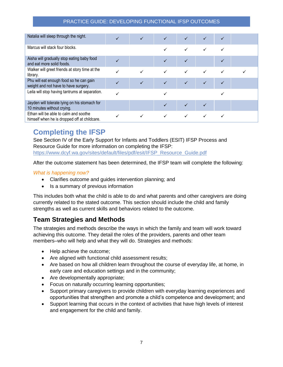| Natalia will sleep through the night.                                                 |              |   | $\checkmark$ |              |              |  |
|---------------------------------------------------------------------------------------|--------------|---|--------------|--------------|--------------|--|
| Marcus will stack four blocks.                                                        |              |   | ✓            |              |              |  |
| Aisha will gradually stop eating baby food<br>and eat more solid foods.               |              |   | $\checkmark$ |              |              |  |
| Walker will greet friends at story time at the<br>library.                            |              |   |              |              |              |  |
| Phu will eat enough food so he can gain<br>weight and not have to have surgery.       | $\checkmark$ | ✓ | $\checkmark$ | $\checkmark$ | $\checkmark$ |  |
| Leila will stop having tantrums at separation.                                        |              |   |              |              |              |  |
| Jayden will tolerate lying on his stomach for<br>10 minutes without crying.           |              |   |              |              |              |  |
| Ethan will be able to calm and soothe<br>himself when he is dropped off at childcare. |              |   |              |              |              |  |

# <span id="page-8-0"></span>**Completing the IFSP**

See Section IV of the Early Support for Infants and Toddlers (ESIT) IFSP Process and Resource Guide for more information on completing the IFSP: https://www.dcyf.wa.gov/sites/default/files/pdf/esit/IFSP\_Resource\_Guide.pdf

After the outcome statement has been determined, the IFSP team will complete the following:

#### *What is happening now?*

- Clarifies outcome and guides intervention planning; and
- Is a summary of previous information

This includes both what the child is able to do and what parents and other caregivers are doing currently related to the stated outcome. This section should include the child and family strengths as well as current skills and behaviors related to the outcome.

#### **Team Strategies and Methods**

The strategies and methods describe the ways in which the family and team will work toward achieving this outcome. They detail the roles of the providers, parents and other team members–who will help and what they will do. Strategies and methods:

- Help achieve the outcome;
- Are aligned with functional child assessment results;
- Are based on how all children learn throughout the course of everyday life, at home, in early care and education settings and in the community;
- Are developmentally appropriate;
- Focus on naturally occurring learning opportunities;
- Support primary caregivers to provide children with everyday learning experiences and opportunities that strengthen and promote a child's competence and development; and
- Support learning that occurs in the context of activities that have high levels of interest and engagement for the child and family.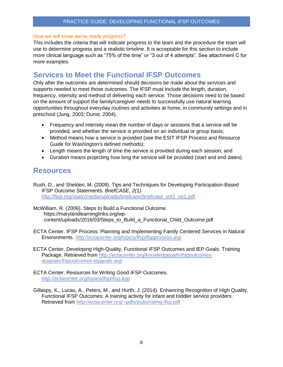#### *How we will know we've made progress?*

This includes the criteria that will indicate progress to the team and the procedure the team will use to determine progress and a realistic timeline. It is acceptable for this section to include more clinical language such as "75% of the time" or "3 out of 4 attempts". See attachment C for more examples.

### <span id="page-9-0"></span>**Services to Meet the Functional IFSP Outcomes**

Only after the outcomes are determined should decisions be made about the services and supports needed to meet those outcomes. The IFSP must include the length, duration, frequency, intensity and method of delivering each service. Those decisions need to be based on the amount of support the family/caregiver needs to successfully use natural learning opportunities throughout everyday routines and activities at home, in community settings and in preschool (Jung, 2003; Dunst, 2004).

- Frequency and intensity mean the number of days or sessions that a service will be provided, and whether the service is provided on an individual or group basis;
- Method means how a service is provided (see the ESIT IFSP Process and Resource Guide for Washington's defined methods);
- Length means the length of time the service is provided during each session; and
- Duration means projecting how long the service will be provided (start and end dates).

### <span id="page-9-1"></span>**Resources**

Rush, D., and Shelden, M. (2009). Tips and Techniques for Developing Participation-Based IFSP Outcome Statements. *BriefCASE, 2(1).* [http://fipp.org/static/media/uploads/briefcase/briefcase\\_vol2\\_no1.pdf](http://fipp.org/static/media/uploads/briefcase/briefcase_vol2_no1.pdf)

McWilliam, R. (2006). Steps to Build a Functional Outcome. [https://marylandlearninglinks.org/wp](https://marylandlearninglinks.org/wp-content/uploads/2016/03/Steps_to_Build_a_Functional_Child_Outcome.pdf)[content/uploads/2016/03/Steps\\_to\\_Build\\_a\\_Functional\\_Child\\_Outcome.pdf](https://marylandlearninglinks.org/wp-content/uploads/2016/03/Steps_to_Build_a_Functional_Child_Outcome.pdf) 

- ECTA Center. IFSP Process: Planning and Implementing Family Centered Services in Natural Environments. <http://ectacenter.org/topics/ifsp/ifspprocess.asp>
- ECTA Center. Developing High-Quality, Functional IFSP Outcomes and IEP Goals: Training Package. Retrieved from [http://ectacenter.org/knowledgepath/ifspoutcomes](http://ectacenter.org/knowledgepath/ifspoutcomes-iepgoals/ifspoutcomes-iepgoals.asp)[iepgoals/ifspoutcomes-iepgoals.asp](http://ectacenter.org/knowledgepath/ifspoutcomes-iepgoals/ifspoutcomes-iepgoals.asp)
- ECTA Center. Resources for Writing Good IFSP Outcomes. <http://ectacenter.org/topics/ifsp/ifsp.asp>
- Gillaspy, K., Lucas, A., Peters, M., and Hurth, J. (2014). Enhancing Recognition of High Quality, Functional IFSP Outcomes: A training activity for infant and toddler service providers. Retrieved from<http://ectacenter.org/~pdfs/pubs/rating-ifsp.pdf>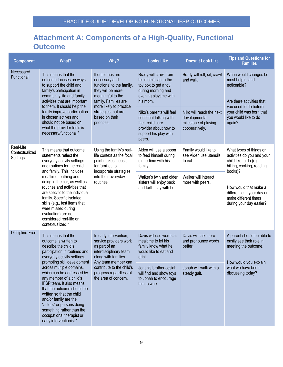# <span id="page-10-0"></span>**Attachment A: Components of a High-Quality, Functional Outcome**

| <b>Component</b>                        | What?                                                                                                                                                                                                                                                                                                                                                                                                                                                                                                                                                                                                                                 | Why?                                                                                                                                                       | <b>Looks Like</b>                                                                                                                  | <b>Doesn't Look Like</b>                                                            | <b>Tips and Questions for</b><br><b>Families</b>                                                                 |
|-----------------------------------------|---------------------------------------------------------------------------------------------------------------------------------------------------------------------------------------------------------------------------------------------------------------------------------------------------------------------------------------------------------------------------------------------------------------------------------------------------------------------------------------------------------------------------------------------------------------------------------------------------------------------------------------|------------------------------------------------------------------------------------------------------------------------------------------------------------|------------------------------------------------------------------------------------------------------------------------------------|-------------------------------------------------------------------------------------|------------------------------------------------------------------------------------------------------------------|
| Necessary/<br>Functional                | This means that the<br>outcome focuses on ways<br>to support the child and<br>family's participation in<br>community life and family<br>activities that are important<br>to them. It should help the<br>family improve participation<br>in chosen actives and<br>should not be based on<br>what the provider feels is<br>necessary/functional.*                                                                                                                                                                                                                                                                                       | If outcomes are<br>necessary and<br>functional to the family,<br>they will be more<br>meaningful to the<br>family. Families are<br>more likely to practice | Brady will crawl from<br>his mom's lap to the<br>toy box to get a toy<br>during morning and<br>evening playtime with<br>his mom.   | Brady will roll, sit, crawl<br>and walk.                                            | When would changes be<br>most helpful and<br>noticeable?<br>Are there activities that<br>you used to do before   |
|                                         |                                                                                                                                                                                                                                                                                                                                                                                                                                                                                                                                                                                                                                       | strategies that are<br>based on their<br>priorities.                                                                                                       | Niko's parents will feel<br>confident talking with<br>their child care<br>provider about how to<br>support his play with<br>peers. | Niko will reach the next<br>developmental<br>milestone of playing<br>cooperatively. | your child was born that<br>you would like to do<br>again?                                                       |
| Real-Life<br>Contextualized<br>Settings | This means that outcome<br>Using the family's real-<br>statements reflect the<br>life context as the focal<br>dinnertime with his<br>everyday activity settings<br>point makes it easier<br>and routines for the child<br>for families to<br>family.<br>and family. This includes<br>incorporate strategies<br>into their everyday<br>mealtime, bathing and<br>riding in the car, as well as<br>routines.<br>routines and activities that<br>are specific to the individual<br>family. Specific isolated<br>skills (e.g., test items that<br>were missed during<br>evaluation) are not<br>considered real-life or<br>contextualized.* |                                                                                                                                                            | Aiden will use a spoon<br>to feed himself during                                                                                   | Family would like to<br>see Aiden use utensils<br>to eat.                           | What types of things or<br>activities do you and your<br>child like to do (e.g.,<br>hiking, cooking, reading     |
|                                         |                                                                                                                                                                                                                                                                                                                                                                                                                                                                                                                                                                                                                                       |                                                                                                                                                            | Walker's twin and older<br>sisters will enjoy back<br>and forth play with her.                                                     | Walker will interact<br>more with peers.                                            | books)?<br>How would that make a<br>difference in your day or<br>make different times<br>during your day easier? |
| Discipline-Free                         | This means that the<br>outcome is written to<br>describe the child's<br>participation in routines and<br>everyday activity settings,<br>promoting skill development                                                                                                                                                                                                                                                                                                                                                                                                                                                                   | In early intervention,<br>service providers work<br>as part of an<br>interdisciplinary team<br>along with families.<br>Any team member can                 | Davis will use words at<br>mealtime to let his<br>family know what he<br>would like to eat and<br>drink.                           | Davis will talk more<br>and pronounce words<br>better.                              | A parent should be able to<br>easily see their role in<br>meeting the outcome.<br>How would you explain          |
|                                         | across multiple domains,<br>which can be addressed by<br>any member of a child's<br>IFSP team. It also means<br>that the outcome should be<br>written so that the child<br>and/or family are the<br>"actors" or persons doing<br>something rather than the<br>occupational therapist or<br>early interventionist.*                                                                                                                                                                                                                                                                                                                    | contribute to the child's<br>progress regardless of<br>the area of concern.                                                                                | Jonah's brother Josiah<br>will find and show toys<br>to Jonah to encourage<br>him to walk.                                         | Jonah will walk with a<br>steady gait.                                              | what we have been<br>discussing today?                                                                           |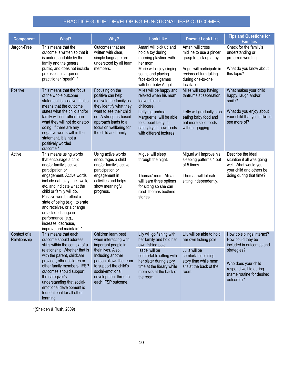| <b>Component</b>             | <b>What?</b>                                                                                                                                                                                                                                                                                                   | Why?                                                                                                                                                                                | <b>Look Like</b>                                                                                                                                                | <b>Doesn't Look Like</b>                                                                                                      | <b>Tips and Questions for</b><br><b>Families</b>                                                                                   |
|------------------------------|----------------------------------------------------------------------------------------------------------------------------------------------------------------------------------------------------------------------------------------------------------------------------------------------------------------|-------------------------------------------------------------------------------------------------------------------------------------------------------------------------------------|-----------------------------------------------------------------------------------------------------------------------------------------------------------------|-------------------------------------------------------------------------------------------------------------------------------|------------------------------------------------------------------------------------------------------------------------------------|
| Jargon-Free                  | This means that the<br>outcome is written so that it<br>is understandable by the<br>family and the general<br>public, and does not include<br>professional jargon or                                                                                                                                           | Outcomes that are<br>written with clear,<br>simple language are<br>understood by all team<br>members.                                                                               | Amani will pick up and<br>hold a toy during<br>morning playtime with<br>her mom.<br>Marie will enjoy singing<br>songs and playing                               | Amani will cross<br>midline to use a pincer<br>grasp to pick up a toy.<br>Angel will participate in<br>reciprocal turn taking | Check for the family's<br>understanding or<br>preferred wording.<br>What do you know about<br>this topic?                          |
|                              | practitioner "speak". *                                                                                                                                                                                                                                                                                        |                                                                                                                                                                                     | during one-to-one<br>face-to-face games<br>with her baby Angel.<br>facilitation.                                                                                |                                                                                                                               |                                                                                                                                    |
| Positive                     | This means that the focus<br>of the whole outcome<br>statement is positive. It also<br>means that the outcome                                                                                                                                                                                                  | Focusing on the<br>Miles will be happy and<br>positive can help<br>relaxed when his mom<br>motivate the family as<br>leaves him at<br>they identify what they<br>childcare.         |                                                                                                                                                                 | Miles will stop having<br>tantrums at separation.                                                                             | What makes your child<br>happy, laugh and/or<br>smile?                                                                             |
|                              | states what the child and/or<br>family will do, rather than<br>what they will not do or stop<br>doing. If there are any<br>negative words within the<br>statement, it is not a<br>positively worded<br>outcome.*                                                                                               | want to see their child<br>do. A strengths-based<br>approach leads to a<br>focus on wellbeing for<br>the child and family.                                                          | Letty's grandma,<br>Marguerite, will be able<br>to support Letty in<br>safely trying new foods<br>with different textures.                                      | Letty will gradually stop<br>eating baby food and<br>eat more solid foods<br>without gagging.                                 | What do you enjoy about<br>your child that you'd like to<br>see more of?                                                           |
| Active                       | This means using words<br>that encourage a child<br>and/or family's active<br>participation or                                                                                                                                                                                                                 | Using active words<br>encourages a child<br>and/or family's active<br>participation or                                                                                              | Miguel will sleep<br>through the night.                                                                                                                         | Miguel will improve his<br>sleeping patterns 4 out<br>of 5 times.                                                             | Describe the ideal<br>situation if all was going<br>well. What would you,<br>your child and others be                              |
|                              | engagement. Active words<br>include eat, play, talk, walk,<br>etc. and indicate what the<br>child or family will do.<br>Passive words reflect a<br>state of being (e.g., tolerate<br>and receive), or a change<br>or lack of change in<br>performance (e.g.,<br>increase, decrease,<br>improve and maintain).* | engagement in<br>activities and helps<br>show meaningful<br>progress.                                                                                                               | Thomas' mom, Alicia,<br>will learn three options<br>for sitting so she can<br>read Thomas bedtime<br>stories.                                                   | Thomas will tolerate<br>sitting independently.                                                                                | doing during that time?                                                                                                            |
| Context of a<br>Relationship | This means that each<br>outcome should address                                                                                                                                                                                                                                                                 | Children learn best<br>when interacting with                                                                                                                                        | Lily will go fishing with<br>her family and hold her                                                                                                            | Lily will be able to hold<br>her own fishing pole.                                                                            | How do siblings interact?<br>How could they be                                                                                     |
|                              | skills within the context of a<br>relationship. Whether that is<br>with the parent, childcare<br>provider, other children or<br>other family members. IFSP<br>outcomes should support<br>the caregiver's<br>understanding that social-<br>emotional development is<br>foundational for all other<br>learning.  | important people in<br>their lives. Also,<br>Including another<br>person allows the team<br>to support the child's<br>social-emotional<br>development through<br>each IFSP outcome. | own fishing pole.<br>Isabel will be<br>comfortable sitting with<br>her sister during story<br>time at the library while<br>mom sits at the back of<br>the room. | Julia will be<br>comfortable joining<br>story time while mom<br>sits at the back of the<br>room.                              | included in outcomes and<br>strategies?<br>Who does your child<br>respond well to during<br>(name routine for desired<br>outcome)? |

\*(Shelden & Rush, 2009)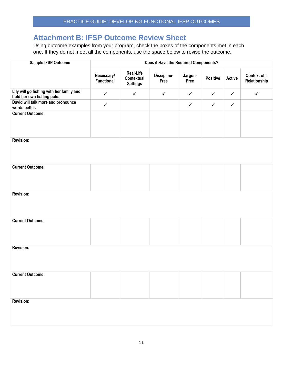### <span id="page-12-0"></span>**Attachment B: IFSP Outcome Review Sheet**

Using outcome examples from your program, check the boxes of the components met in each one. If they do not meet all the components, use the space below to revise the outcome.

| Sample IFSP Outcome                                                    | Does it Have the Required Components? |                                            |                     |                 |                 |              |                              |
|------------------------------------------------------------------------|---------------------------------------|--------------------------------------------|---------------------|-----------------|-----------------|--------------|------------------------------|
|                                                                        | Necessary/<br>Functional              | Real-Life<br>Contextual<br><b>Settings</b> | Discipline-<br>Free | Jargon-<br>Free | <b>Positive</b> | Active       | Context of a<br>Relationship |
| Lily will go fishing with her family and<br>hold her own fishing pole. | $\checkmark$                          | $\checkmark$                               | $\checkmark$        | $\checkmark$    | $\checkmark$    | $\checkmark$ | $\checkmark$                 |
| David will talk more and pronounce<br>words better.                    | $\checkmark$                          |                                            |                     | $\checkmark$    | $\checkmark$    | $\checkmark$ |                              |
| <b>Current Outcome:</b>                                                |                                       |                                            |                     |                 |                 |              |                              |
| Revision:                                                              |                                       |                                            |                     |                 |                 |              |                              |
| <b>Current Outcome:</b>                                                |                                       |                                            |                     |                 |                 |              |                              |
| <b>Revision:</b>                                                       |                                       |                                            |                     |                 |                 |              |                              |
| <b>Current Outcome:</b>                                                |                                       |                                            |                     |                 |                 |              |                              |
| <b>Revision:</b>                                                       |                                       |                                            |                     |                 |                 |              |                              |
| <b>Current Outcome:</b>                                                |                                       |                                            |                     |                 |                 |              |                              |
| Revision:                                                              |                                       |                                            |                     |                 |                 |              |                              |